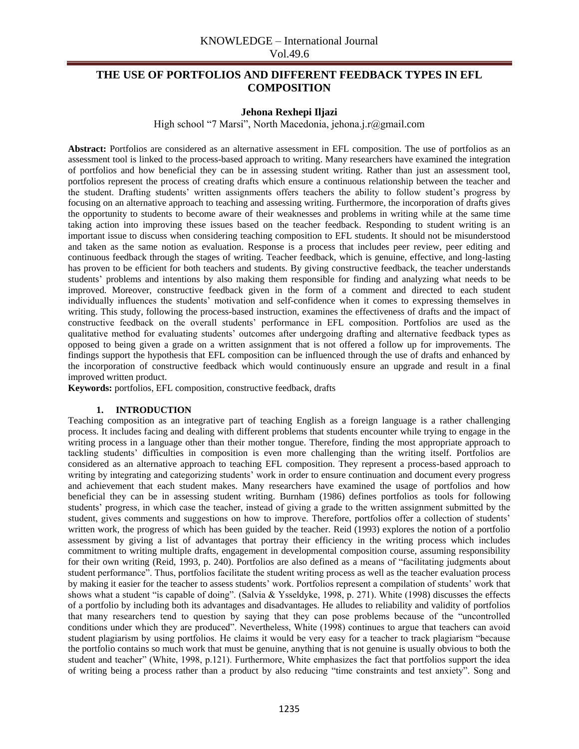## **THE USE OF PORTFOLIOS AND DIFFERENT FEEDBACK TYPES IN EFL COMPOSITION**

#### **Jehona Rexhepi Iljazi**

High school "7 Marsi", North Macedonia, jehona.j.r@gmail.com

**Abstract:** Portfolios are considered as an alternative assessment in EFL composition. The use of portfolios as an assessment tool is linked to the process-based approach to writing. Many researchers have examined the integration of portfolios and how beneficial they can be in assessing student writing. Rather than just an assessment tool, portfolios represent the process of creating drafts which ensure a continuous relationship between the teacher and the student. Drafting students' written assignments offers teachers the ability to follow student's progress by focusing on an alternative approach to teaching and assessing writing. Furthermore, the incorporation of drafts gives the opportunity to students to become aware of their weaknesses and problems in writing while at the same time taking action into improving these issues based on the teacher feedback. Responding to student writing is an important issue to discuss when considering teaching composition to EFL students. It should not be misunderstood and taken as the same notion as evaluation. Response is a process that includes peer review, peer editing and continuous feedback through the stages of writing. Teacher feedback, which is genuine, effective, and long-lasting has proven to be efficient for both teachers and students. By giving constructive feedback, the teacher understands students' problems and intentions by also making them responsible for finding and analyzing what needs to be improved. Moreover, constructive feedback given in the form of a comment and directed to each student individually influences the students' motivation and self-confidence when it comes to expressing themselves in writing. This study, following the process-based instruction, examines the effectiveness of drafts and the impact of constructive feedback on the overall students' performance in EFL composition. Portfolios are used as the qualitative method for evaluating students' outcomes after undergoing drafting and alternative feedback types as opposed to being given a grade on a written assignment that is not offered a follow up for improvements. The findings support the hypothesis that EFL composition can be influenced through the use of drafts and enhanced by the incorporation of constructive feedback which would continuously ensure an upgrade and result in a final improved written product.

**Keywords:** portfolios, EFL composition, constructive feedback, drafts

#### **1. INTRODUCTION**

Teaching composition as an integrative part of teaching English as a foreign language is a rather challenging process. It includes facing and dealing with different problems that students encounter while trying to engage in the writing process in a language other than their mother tongue. Therefore, finding the most appropriate approach to tackling students' difficulties in composition is even more challenging than the writing itself. Portfolios are considered as an alternative approach to teaching EFL composition. They represent a process-based approach to writing by integrating and categorizing students' work in order to ensure continuation and document every progress and achievement that each student makes. Many researchers have examined the usage of portfolios and how beneficial they can be in assessing student writing. Burnham (1986) defines portfolios as tools for following students' progress, in which case the teacher, instead of giving a grade to the written assignment submitted by the student, gives comments and suggestions on how to improve. Therefore, portfolios offer a collection of students' written work, the progress of which has been guided by the teacher. Reid (1993) explores the notion of a portfolio assessment by giving a list of advantages that portray their efficiency in the writing process which includes commitment to writing multiple drafts, engagement in developmental composition course, assuming responsibility for their own writing (Reid, 1993, p. 240). Portfolios are also defined as a means of "facilitating judgments about student performance". Thus, portfolios facilitate the student writing process as well as the teacher evaluation process by making it easier for the teacher to assess students' work. Portfolios represent a compilation of students' work that shows what a student "is capable of doing". (Salvia & Ysseldyke, 1998, p. 271). White (1998) discusses the effects of a portfolio by including both its advantages and disadvantages. He alludes to reliability and validity of portfolios that many researchers tend to question by saying that they can pose problems because of the "uncontrolled conditions under which they are produced". Nevertheless, White (1998) continues to argue that teachers can avoid student plagiarism by using portfolios. He claims it would be very easy for a teacher to track plagiarism "because the portfolio contains so much work that must be genuine, anything that is not genuine is usually obvious to both the student and teacher" (White, 1998, p.121). Furthermore, White emphasizes the fact that portfolios support the idea of writing being a process rather than a product by also reducing "time constraints and test anxiety". Song and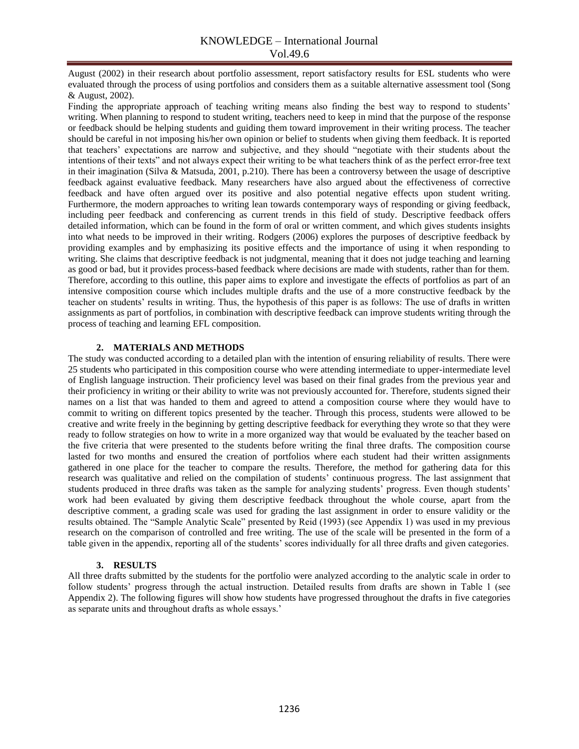August (2002) in their research about portfolio assessment, report satisfactory results for ESL students who were evaluated through the process of using portfolios and considers them as a suitable alternative assessment tool (Song & August, 2002).

Finding the appropriate approach of teaching writing means also finding the best way to respond to students' writing. When planning to respond to student writing, teachers need to keep in mind that the purpose of the response or feedback should be helping students and guiding them toward improvement in their writing process. The teacher should be careful in not imposing his/her own opinion or belief to students when giving them feedback. It is reported that teachers' expectations are narrow and subjective, and they should "negotiate with their students about the intentions of their texts" and not always expect their writing to be what teachers think of as the perfect error-free text in their imagination (Silva & Matsuda, 2001, p.210). There has been a controversy between the usage of descriptive feedback against evaluative feedback. Many researchers have also argued about the effectiveness of corrective feedback and have often argued over its positive and also potential negative effects upon student writing. Furthermore, the modern approaches to writing lean towards contemporary ways of responding or giving feedback, including peer feedback and conferencing as current trends in this field of study. Descriptive feedback offers detailed information, which can be found in the form of oral or written comment, and which gives students insights into what needs to be improved in their writing. Rodgers (2006) explores the purposes of descriptive feedback by providing examples and by emphasizing its positive effects and the importance of using it when responding to writing. She claims that descriptive feedback is not judgmental, meaning that it does not judge teaching and learning as good or bad, but it provides process-based feedback where decisions are made with students, rather than for them. Therefore, according to this outline, this paper aims to explore and investigate the effects of portfolios as part of an intensive composition course which includes multiple drafts and the use of a more constructive feedback by the teacher on students' results in writing. Thus, the hypothesis of this paper is as follows: The use of drafts in written assignments as part of portfolios, in combination with descriptive feedback can improve students writing through the process of teaching and learning EFL composition.

#### **2. MATERIALS AND METHODS**

The study was conducted according to a detailed plan with the intention of ensuring reliability of results. There were 25 students who participated in this composition course who were attending intermediate to upper-intermediate level of English language instruction. Their proficiency level was based on their final grades from the previous year and their proficiency in writing or their ability to write was not previously accounted for. Therefore, students signed their names on a list that was handed to them and agreed to attend a composition course where they would have to commit to writing on different topics presented by the teacher. Through this process, students were allowed to be creative and write freely in the beginning by getting descriptive feedback for everything they wrote so that they were ready to follow strategies on how to write in a more organized way that would be evaluated by the teacher based on the five criteria that were presented to the students before writing the final three drafts. The composition course lasted for two months and ensured the creation of portfolios where each student had their written assignments gathered in one place for the teacher to compare the results. Therefore, the method for gathering data for this research was qualitative and relied on the compilation of students' continuous progress. The last assignment that students produced in three drafts was taken as the sample for analyzing students' progress. Even though students' work had been evaluated by giving them descriptive feedback throughout the whole course, apart from the descriptive comment, a grading scale was used for grading the last assignment in order to ensure validity or the results obtained. The "Sample Analytic Scale" presented by Reid (1993) (see Appendix 1) was used in my previous research on the comparison of controlled and free writing. The use of the scale will be presented in the form of a table given in the appendix, reporting all of the students' scores individually for all three drafts and given categories.

#### **3. RESULTS**

All three drafts submitted by the students for the portfolio were analyzed according to the analytic scale in order to follow students' progress through the actual instruction. Detailed results from drafts are shown in Table 1 (see Appendix 2). The following figures will show how students have progressed throughout the drafts in five categories as separate units and throughout drafts as whole essays.'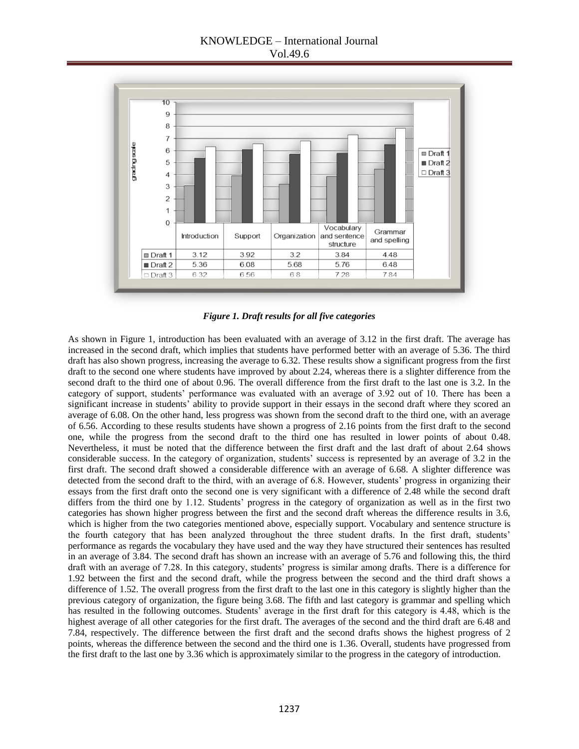

*Figure 1. Draft results for all five categories*

As shown in Figure 1, introduction has been evaluated with an average of 3.12 in the first draft. The average has increased in the second draft, which implies that students have performed better with an average of 5.36. The third draft has also shown progress, increasing the average to 6.32. These results show a significant progress from the first draft to the second one where students have improved by about 2.24, whereas there is a slighter difference from the second draft to the third one of about 0.96. The overall difference from the first draft to the last one is 3.2. In the category of support, students' performance was evaluated with an average of 3.92 out of 10. There has been a significant increase in students' ability to provide support in their essays in the second draft where they scored an average of 6.08. On the other hand, less progress was shown from the second draft to the third one, with an average of 6.56. According to these results students have shown a progress of 2.16 points from the first draft to the second one, while the progress from the second draft to the third one has resulted in lower points of about 0.48. Nevertheless, it must be noted that the difference between the first draft and the last draft of about 2.64 shows considerable success. In the category of organization, students' success is represented by an average of 3.2 in the first draft. The second draft showed a considerable difference with an average of 6.68. A slighter difference was detected from the second draft to the third, with an average of 6.8. However, students' progress in organizing their essays from the first draft onto the second one is very significant with a difference of 2.48 while the second draft differs from the third one by 1.12. Students' progress in the category of organization as well as in the first two categories has shown higher progress between the first and the second draft whereas the difference results in 3.6, which is higher from the two categories mentioned above, especially support. Vocabulary and sentence structure is the fourth category that has been analyzed throughout the three student drafts. In the first draft, students' performance as regards the vocabulary they have used and the way they have structured their sentences has resulted in an average of 3.84. The second draft has shown an increase with an average of 5.76 and following this, the third draft with an average of 7.28. In this category, students' progress is similar among drafts. There is a difference for 1.92 between the first and the second draft, while the progress between the second and the third draft shows a difference of 1.52. The overall progress from the first draft to the last one in this category is slightly higher than the previous category of organization, the figure being 3.68. The fifth and last category is grammar and spelling which has resulted in the following outcomes. Students' average in the first draft for this category is 4.48, which is the highest average of all other categories for the first draft. The averages of the second and the third draft are 6.48 and 7.84, respectively. The difference between the first draft and the second drafts shows the highest progress of 2 points, whereas the difference between the second and the third one is 1.36. Overall, students have progressed from the first draft to the last one by 3.36 which is approximately similar to the progress in the category of introduction.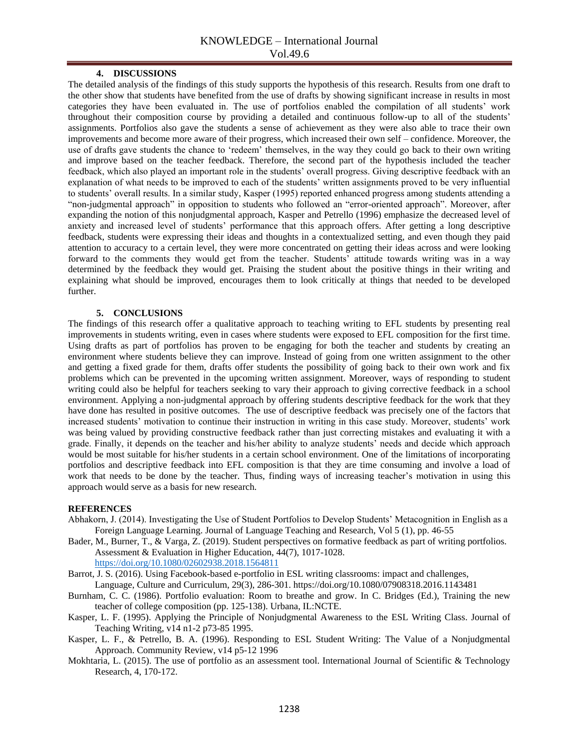#### **4. DISCUSSIONS**

The detailed analysis of the findings of this study supports the hypothesis of this research. Results from one draft to the other show that students have benefited from the use of drafts by showing significant increase in results in most categories they have been evaluated in. The use of portfolios enabled the compilation of all students' work throughout their composition course by providing a detailed and continuous follow-up to all of the students' assignments. Portfolios also gave the students a sense of achievement as they were also able to trace their own improvements and become more aware of their progress, which increased their own self – confidence. Moreover, the use of drafts gave students the chance to 'redeem' themselves, in the way they could go back to their own writing and improve based on the teacher feedback. Therefore, the second part of the hypothesis included the teacher feedback, which also played an important role in the students' overall progress. Giving descriptive feedback with an explanation of what needs to be improved to each of the students' written assignments proved to be very influential to students' overall results. In a similar study, Kasper (1995) reported enhanced progress among students attending a "non-judgmental approach" in opposition to students who followed an "error-oriented approach". Moreover, after expanding the notion of this nonjudgmental approach, Kasper and Petrello (1996) emphasize the decreased level of anxiety and increased level of students' performance that this approach offers. After getting a long descriptive feedback, students were expressing their ideas and thoughts in a contextualized setting, and even though they paid attention to accuracy to a certain level, they were more concentrated on getting their ideas across and were looking forward to the comments they would get from the teacher. Students' attitude towards writing was in a way determined by the feedback they would get. Praising the student about the positive things in their writing and explaining what should be improved, encourages them to look critically at things that needed to be developed further.

#### **5. CONCLUSIONS**

The findings of this research offer a qualitative approach to teaching writing to EFL students by presenting real improvements in students writing, even in cases where students were exposed to EFL composition for the first time. Using drafts as part of portfolios has proven to be engaging for both the teacher and students by creating an environment where students believe they can improve. Instead of going from one written assignment to the other and getting a fixed grade for them, drafts offer students the possibility of going back to their own work and fix problems which can be prevented in the upcoming written assignment. Moreover, ways of responding to student writing could also be helpful for teachers seeking to vary their approach to giving corrective feedback in a school environment. Applying a non-judgmental approach by offering students descriptive feedback for the work that they have done has resulted in positive outcomes. The use of descriptive feedback was precisely one of the factors that increased students' motivation to continue their instruction in writing in this case study. Moreover, students' work was being valued by providing constructive feedback rather than just correcting mistakes and evaluating it with a grade. Finally, it depends on the teacher and his/her ability to analyze students' needs and decide which approach would be most suitable for his/her students in a certain school environment. One of the limitations of incorporating portfolios and descriptive feedback into EFL composition is that they are time consuming and involve a load of work that needs to be done by the teacher. Thus, finding ways of increasing teacher's motivation in using this approach would serve as a basis for new research.

#### **REFERENCES**

- Abhakorn, J. (2014). Investigating the Use of Student Portfolios to Develop Students' Metacognition in English as a Foreign Language Learning. Journal of Language Teaching and Research, Vol 5 (1), pp. 46-55
- Bader, M., Burner, T., & Varga, Z. (2019). Student perspectives on formative feedback as part of writing portfolios. Assessment & Evaluation in Higher Education, 44(7), 1017-1028. <https://doi.org/10.1080/02602938.2018.1564811>
- Barrot, J. S. (2016). Using Facebook-based e-portfolio in ESL writing classrooms: impact and challenges, Language, Culture and Curriculum, 29(3), 286-301. https://doi.org/10.1080/07908318.2016.1143481
- Burnham, C. C. (1986). Portfolio evaluation: Room to breathe and grow. In C. Bridges (Ed.), Training the new teacher of college composition (pp. 125-138). Urbana, IL:NCTE.
- Kasper, L. F. (1995). Applying the Principle of Nonjudgmental Awareness to the ESL Writing Class. Journal of Teaching Writing, v14 n1-2 p73-85 1995.
- Kasper, L. F., & Petrello, B. A. (1996). Responding to ESL Student Writing: The Value of a Nonjudgmental Approach. Community Review, v14 p5-12 1996
- Mokhtaria, L. (2015). The use of portfolio as an assessment tool. International Journal of Scientific & Technology Research, 4, 170-172.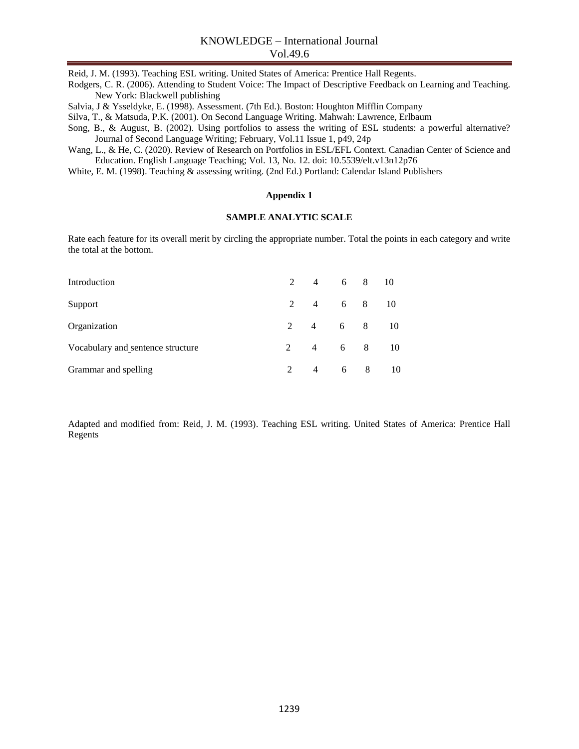Reid, J. M. (1993). Teaching ESL writing. United States of America: Prentice Hall Regents.

Rodgers, C. R. (2006). Attending to Student Voice: The Impact of Descriptive Feedback on Learning and Teaching. New York: Blackwell publishing

Salvia, J & Ysseldyke, E. (1998). Assessment. (7th Ed.). Boston: Houghton Mifflin Company

Silva, T., & Matsuda, P.K. (2001). On Second Language Writing. Mahwah: Lawrence, Erlbaum

Song, B., & August, B. (2002). Using portfolios to assess the writing of ESL students: a powerful alternative? Journal of Second Language Writing; February, Vol.11 Issue 1, p49, 24p

Wang, L., & He, C. (2020). Review of Research on Portfolios in ESL/EFL Context. Canadian Center of Science and Education. English Language Teaching; Vol. 13, No. 12. doi: 10.5539/elt.v13n12p76

White, E. M. (1998). Teaching & assessing writing. (2nd Ed.) Portland: Calendar Island Publishers

### **Appendix 1**

#### **SAMPLE ANALYTIC SCALE**

Rate each feature for its overall merit by circling the appropriate number. Total the points in each category and write the total at the bottom.

| Introduction                      |                | 2 4 6 8 10 |     |            |
|-----------------------------------|----------------|------------|-----|------------|
| Support                           |                | 2 4 6 8 10 |     |            |
| Organization                      |                | 2 4 6 8 10 |     |            |
| Vocabulary and sentence structure |                |            |     | 2 4 6 8 10 |
| Grammar and spelling              | $\overline{4}$ |            | 6 8 | 10         |

Adapted and modified from: Reid, J. M. (1993). Teaching ESL writing. United States of America: Prentice Hall Regents